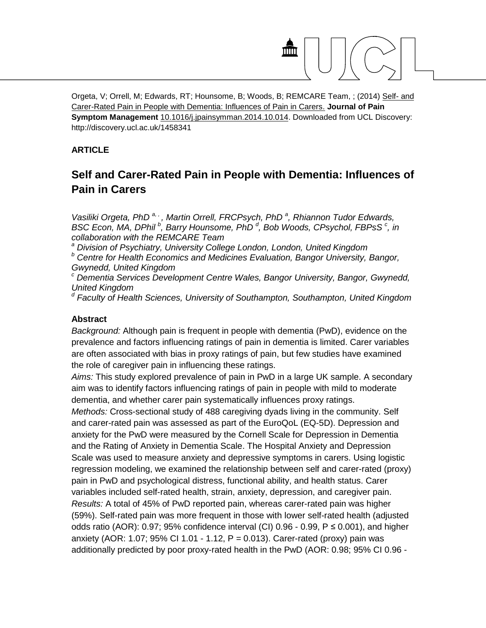

Orgeta, V; Orrell, M; Edwards, RT; Hounsome, B; Woods, B; REMCARE Team, ; (2014) [Self-](http://discovery.ucl.ac.uk/cgi/users/home?screen=EPrint::View&eprintid=1458341) and [Carer-Rated Pain in People with Dementia: Influences of Pain in Carers.](http://discovery.ucl.ac.uk/cgi/users/home?screen=EPrint::View&eprintid=1458341) **Journal of Pain Symptom Management** [10.1016/j.jpainsymman.2014.10.014.](http://dx.doi.org/10.1016/j.jpainsymman.2014.10.014) Downloaded from UCL Discovery: http://discovery.ucl.ac.uk/1458341

# **ARTICLE**

# **Self and Carer-Rated Pain in People with Dementia: Influences of Pain in Carers**

*[Vasiliki Orgeta,](http://www.sciencedirect.com/science/article/pii/S0885392414009178) PhD<sup>[a,](http://www.sciencedirect.com/science/article/pii/S0885392414009178#aff1),</sup>, [Martin Orrell,](http://www.sciencedirect.com/science/article/pii/S0885392414009178) FRCPsych, PhD<sup>[a](http://www.sciencedirect.com/science/article/pii/S0885392414009178#aff1)</sup>, [Rhiannon Tudor Edwards,](http://www.sciencedirect.com/science/article/pii/S0885392414009178) BSC Econ, MA, DPhil<sup>[b](http://www.sciencedirect.com/science/article/pii/S0885392414009178#aff2)</sup>, [Barry Hounsome,](http://www.sciencedirect.com/science/article/pii/S0885392414009178) PhD<sup>[d](http://www.sciencedirect.com/science/article/pii/S0885392414009178#aff4)</sup>, [Bob Woods,](http://www.sciencedirect.com/science/article/pii/S0885392414009178) CPsychol[,](http://www.sciencedirect.com/science/article/pii/S0885392414009178#aff3) FBPsS<sup>c</sup>, in collaboration with the REMCARE Team*

*<sup>a</sup> Division of Psychiatry, University College London, London, United Kingdom*

*<sup>b</sup> Centre for Health Economics and Medicines Evaluation, Bangor University, Bangor, Gwynedd, United Kingdom*

*<sup>c</sup> Dementia Services Development Centre Wales, Bangor University, Bangor, Gwynedd, United Kingdom*

*<sup>d</sup> Faculty of Health Sciences, University of Southampton, Southampton, United Kingdom*

#### **Abstract**

*Background:* Although pain is frequent in people with dementia (PwD), evidence on the prevalence and factors influencing ratings of pain in dementia is limited. Carer variables are often associated with bias in proxy ratings of pain, but few studies have examined the role of caregiver pain in influencing these ratings.

*Aims:* This study explored prevalence of pain in PwD in a large UK sample. A secondary aim was to identify factors influencing ratings of pain in people with mild to moderate dementia, and whether carer pain systematically influences proxy ratings.

*Methods:* Cross-sectional study of 488 caregiving dyads living in the community. Self and carer-rated pain was assessed as part of the EuroQoL (EQ-5D). Depression and anxiety for the PwD were measured by the Cornell Scale for Depression in Dementia and the Rating of Anxiety in Dementia Scale. The Hospital Anxiety and Depression Scale was used to measure anxiety and depressive symptoms in carers. Using logistic regression modeling, we examined the relationship between self and carer-rated (proxy) pain in PwD and psychological distress, functional ability, and health status. Carer variables included self-rated health, strain, anxiety, depression, and caregiver pain. *Results:* A total of 45% of PwD reported pain, whereas carer-rated pain was higher (59%). Self-rated pain was more frequent in those with lower self-rated health (adjusted odds ratio (AOR): 0.97; 95% confidence interval (CI) 0.96 - 0.99, P *≤* 0.001), and higher anxiety (AOR: 1.07; 95% CI 1.01 - 1.12, P *=* 0.013). Carer-rated (proxy) pain was additionally predicted by poor proxy-rated health in the PwD (AOR: 0.98; 95% CI 0.96 -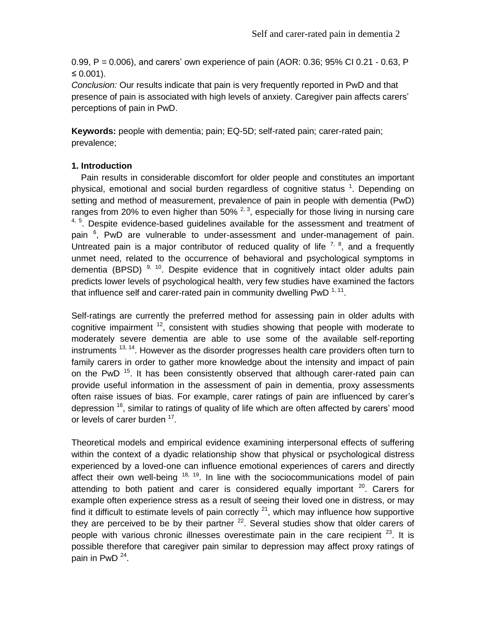0.99, P *=* 0.006), and carers' own experience of pain (AOR: 0.36; 95% CI 0.21 - 0.63, P *≤* 0.001).

*Conclusion:* Our results indicate that pain is very frequently reported in PwD and that presence of pain is associated with high levels of anxiety. Caregiver pain affects carers' perceptions of pain in PwD.

**Keywords:** people with dementia; pain; EQ-5D; self-rated pain; carer-rated pain; prevalence;

# **1. Introduction**

 Pain results in considerable discomfort for older people and constitutes an important physical, emotional and social burden regardless of cognitive status <sup>1</sup>. Depending on setting and method of measurement, prevalence of pain in people with dementia (PwD) ranges from 20% to even higher than 50%  $^{2, 3}$ , especially for those living in nursing care  $4, 5$ . Despite evidence-based guidelines available for the assessment and treatment of pain <sup>6</sup>, PwD are vulnerable to under-assessment and under-management of pain. Untreated pain is a major contributor of reduced quality of life  $7, 8$ , and a frequently unmet need, related to the occurrence of behavioral and psychological symptoms in dementia (BPSD)<sup>9, 10</sup>. Despite evidence that in cognitively intact older adults pain predicts lower levels of psychological health, very few studies have examined the factors that influence self and carer-rated pain in community dwelling PwD  $1,11$ .

Self-ratings are currently the preferred method for assessing pain in older adults with cognitive impairment  $12$ , consistent with studies showing that people with moderate to moderately severe dementia are able to use some of the available self-reporting instruments  $13, 14$ . However as the disorder progresses health care providers often turn to family carers in order to gather more knowledge about the intensity and impact of pain on the PwD<sup>15</sup>. It has been consistently observed that although carer-rated pain can provide useful information in the assessment of pain in dementia, proxy assessments often raise issues of bias. For example, carer ratings of pain are influenced by carer's depression  $16$ , similar to ratings of quality of life which are often affected by carers' mood or levels of carer burden <sup>17</sup>.

Theoretical models and empirical evidence examining interpersonal effects of suffering within the context of a dyadic relationship show that physical or psychological distress experienced by a loved-one can influence emotional experiences of carers and directly affect their own well-being  $18$ ,  $19$ . In line with the sociocommunications model of pain attending to both patient and carer is considered equally important  $20$ . Carers for example often experience stress as a result of seeing their loved one in distress, or may find it difficult to estimate levels of pain correctly  $21$ , which may influence how supportive they are perceived to be by their partner  $22$ . Several studies show that older carers of people with various chronic illnesses overestimate pain in the care recipient  $23$ . It is possible therefore that caregiver pain similar to depression may affect proxy ratings of pain in PwD<sup>24</sup>.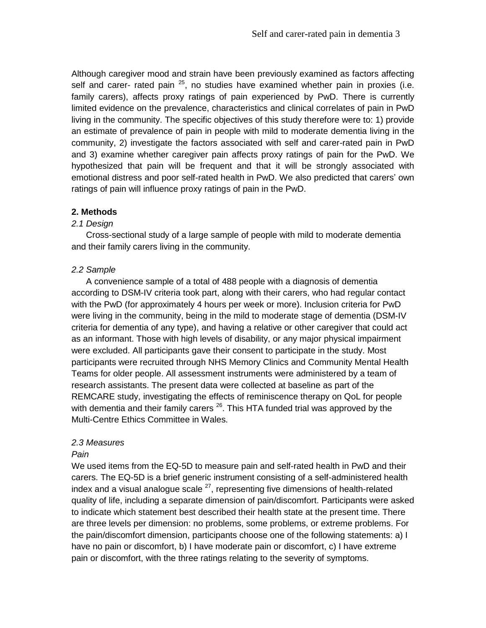Although caregiver mood and strain have been previously examined as factors affecting self and carer- rated pain <sup>25</sup>, no studies have examined whether pain in proxies (i.e. family carers), affects proxy ratings of pain experienced by PwD. There is currently limited evidence on the prevalence, characteristics and clinical correlates of pain in PwD living in the community. The specific objectives of this study therefore were to: 1) provide an estimate of prevalence of pain in people with mild to moderate dementia living in the community, 2) investigate the factors associated with self and carer-rated pain in PwD and 3) examine whether caregiver pain affects proxy ratings of pain for the PwD. We hypothesized that pain will be frequent and that it will be strongly associated with emotional distress and poor self-rated health in PwD. We also predicted that carers' own ratings of pain will influence proxy ratings of pain in the PwD.

# **2. Methods**

#### *2.1 Design*

 Cross-sectional study of a large sample of people with mild to moderate dementia and their family carers living in the community.

#### *2.2 Sample*

A convenience sample of a total of 488 people with a diagnosis of dementia according to DSM-IV criteria took part, along with their carers, who had regular contact with the PwD (for approximately 4 hours per week or more). Inclusion criteria for PwD were living in the community, being in the mild to moderate stage of dementia (DSM-IV criteria for dementia of any type), and having a relative or other caregiver that could act as an informant. Those with high levels of disability, or any major physical impairment were excluded. All participants gave their consent to participate in the study. Most participants were recruited through NHS Memory Clinics and Community Mental Health Teams for older people. All assessment instruments were administered by a team of research assistants. The present data were collected at baseline as part of the REMCARE study, investigating the effects of reminiscence therapy on QoL for people with dementia and their family carers <sup>26</sup>. This HTA funded trial was approved by the Multi-Centre Ethics Committee in Wales.

#### *2.3 Measures*

#### *Pain*

We used items from the EQ-5D to measure pain and self-rated health in PwD and their carers. The EQ-5D is a brief generic instrument consisting of a self-administered health index and a visual analogue scale  $^{27}$ , representing five dimensions of health-related quality of life, including a separate dimension of pain/discomfort. Participants were asked to indicate which statement best described their health state at the present time. There are three levels per dimension: no problems, some problems, or extreme problems. For the pain/discomfort dimension, participants choose one of the following statements: a) I have no pain or discomfort, b) I have moderate pain or discomfort, c) I have extreme pain or discomfort, with the three ratings relating to the severity of symptoms.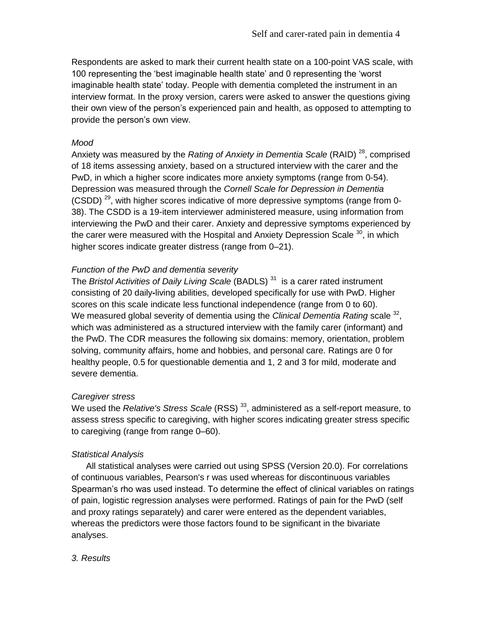Respondents are asked to mark their current health state on a 100-point VAS scale, with 100 representing the 'best imaginable health state' and 0 representing the 'worst imaginable health state' today. People with dementia completed the instrument in an interview format. In the proxy version, carers were asked to answer the questions giving their own view of the person's experienced pain and health, as opposed to attempting to provide the person's own view.

#### *Mood*

Anxiety was measured by the *Rating of Anxiety in Dementia Scale* (RAID) <sup>28</sup>, comprised of 18 items assessing anxiety, based on a structured interview with the carer and the PwD, in which a higher score indicates more anxiety symptoms (range from 0-54). Depression was measured through the *Cornell Scale for Depression in Dementia* (CSDD)<sup>29</sup>, with higher scores indicative of more depressive symptoms (range from 0-38). The CSDD is a 19-item interviewer administered measure, using information from interviewing the PwD and their carer. Anxiety and depressive symptoms experienced by the carer were measured with the Hospital and Anxiety Depression Scale <sup>30</sup>, in which higher scores indicate greater distress (range from 0–21).

#### *Function of the PwD and dementia severity*

The *Bristol Activities of Daily Living Scale* (BADLS) <sup>31</sup> is a carer rated instrument consisting of 20 daily**-**living abilities, developed specifically for use with PwD. Higher scores on this scale indicate less functional independence (range from 0 to 60). We measured global severity of dementia using the *Clinical Dementia Rating* scale <sup>32</sup>, which was administered as a structured interview with the family carer (informant) and the PwD. The CDR measures the following six domains: memory, orientation, problem solving, community affairs, home and hobbies, and personal care. Ratings are 0 for healthy people, 0.5 for questionable dementia and 1, 2 and 3 for mild, moderate and severe dementia.

#### *Caregiver stress*

We used the *Relative's Stress Scale* (RSS) <sup>33</sup>, administered as a self-report measure, to assess stress specific to caregiving, with higher scores indicating greater stress specific to caregiving (range from range 0–60).

#### *Statistical Analysis*

 All statistical analyses were carried out using SPSS (Version 20.0). For correlations of continuous variables, Pearson's r was used whereas for discontinuous variables Spearman's rho was used instead. To determine the effect of clinical variables on ratings of pain, logistic regression analyses were performed. Ratings of pain for the PwD (self and proxy ratings separately) and carer were entered as the dependent variables, whereas the predictors were those factors found to be significant in the bivariate analyses.

#### *3. Results*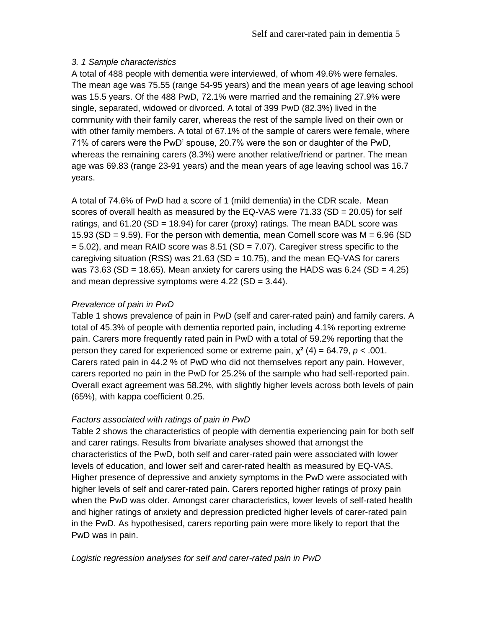# *3. 1 Sample characteristics*

A total of 488 people with dementia were interviewed, of whom 49.6% were females. The mean age was 75.55 (range 54-95 years) and the mean years of age leaving school was 15.5 years. Of the 488 PwD, 72.1% were married and the remaining 27.9% were single, separated, widowed or divorced. A total of 399 PwD (82.3%) lived in the community with their family carer, whereas the rest of the sample lived on their own or with other family members. A total of 67.1% of the sample of carers were female, where 71% of carers were the PwD' spouse, 20.7% were the son or daughter of the PwD, whereas the remaining carers (8.3%) were another relative/friend or partner. The mean age was 69.83 (range 23-91 years) and the mean years of age leaving school was 16.7 years.

A total of 74.6% of PwD had a score of 1 (mild dementia) in the CDR scale. Mean scores of overall health as measured by the EQ-VAS were 71.33 (SD = 20.05) for self ratings, and  $61.20$  (SD = 18.94) for carer (proxy) ratings. The mean BADL score was 15.93 (SD = 9.59). For the person with dementia, mean Cornell score was  $M = 6.96$  (SD  $= 5.02$ ), and mean RAID score was 8.51 (SD  $= 7.07$ ). Caregiver stress specific to the caregiving situation (RSS) was  $21.63$  (SD = 10.75), and the mean EQ-VAS for carers was 73.63 (SD = 18.65). Mean anxiety for carers using the HADS was 6.24 (SD = 4.25) and mean depressive symptoms were  $4.22$  (SD =  $3.44$ ).

# *Prevalence of pain in PwD*

Table 1 shows prevalence of pain in PwD (self and carer-rated pain) and family carers. A total of 45.3% of people with dementia reported pain, including 4.1% reporting extreme pain. Carers more frequently rated pain in PwD with a total of 59.2% reporting that the person they cared for experienced some or extreme pain,  $\chi^2$  (4) = 64.79, *p* < .001. Carers rated pain in 44.2 % of PwD who did not themselves report any pain. However, carers reported no pain in the PwD for 25.2% of the sample who had self-reported pain. Overall exact agreement was 58.2%, with slightly higher levels across both levels of pain (65%), with kappa coefficient 0.25.

#### *Factors associated with ratings of pain in PwD*

Table 2 shows the characteristics of people with dementia experiencing pain for both self and carer ratings. Results from bivariate analyses showed that amongst the characteristics of the PwD, both self and carer-rated pain were associated with lower levels of education, and lower self and carer-rated health as measured by EQ-VAS. Higher presence of depressive and anxiety symptoms in the PwD were associated with higher levels of self and carer-rated pain. Carers reported higher ratings of proxy pain when the PwD was older. Amongst carer characteristics, lower levels of self-rated health and higher ratings of anxiety and depression predicted higher levels of carer-rated pain in the PwD. As hypothesised, carers reporting pain were more likely to report that the PwD was in pain.

# *Logistic regression analyses for self and carer-rated pain in PwD*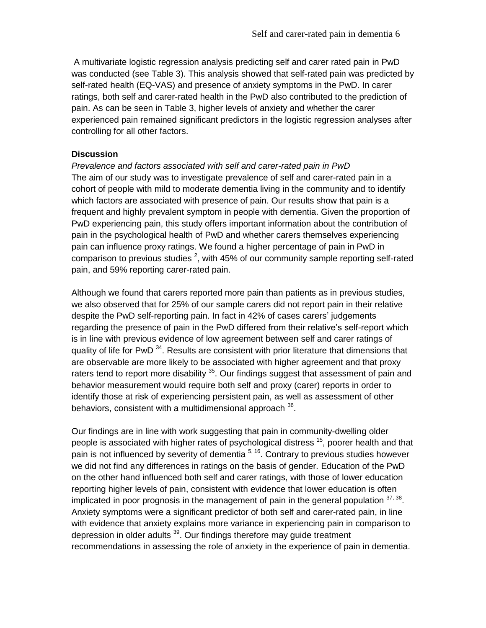A multivariate logistic regression analysis predicting self and carer rated pain in PwD was conducted (see Table 3). This analysis showed that self-rated pain was predicted by self-rated health (EQ-VAS) and presence of anxiety symptoms in the PwD. In carer ratings, both self and carer-rated health in the PwD also contributed to the prediction of pain. As can be seen in Table 3, higher levels of anxiety and whether the carer experienced pain remained significant predictors in the logistic regression analyses after controlling for all other factors.

#### **Discussion**

*Prevalence and factors associated with self and carer-rated pain in PwD* The aim of our study was to investigate prevalence of self and carer-rated pain in a cohort of people with mild to moderate dementia living in the community and to identify which factors are associated with presence of pain. Our results show that pain is a frequent and highly prevalent symptom in people with dementia. Given the proportion of PwD experiencing pain, this study offers important information about the contribution of pain in the psychological health of PwD and whether carers themselves experiencing pain can influence proxy ratings. We found a higher percentage of pain in PwD in comparison to previous studies  $^2$ , with 45% of our community sample reporting self-rated pain, and 59% reporting carer-rated pain.

Although we found that carers reported more pain than patients as in previous studies, we also observed that for 25% of our sample carers did not report pain in their relative despite the PwD self-reporting pain. In fact in 42% of cases carers' judgements regarding the presence of pain in the PwD differed from their relative's self-report which is in line with previous evidence of low agreement between self and carer ratings of quality of life for PwD<sup>34</sup>. Results are consistent with prior literature that dimensions that are observable are more likely to be associated with higher agreement and that proxy raters tend to report more disability  $35$ . Our findings suggest that assessment of pain and behavior measurement would require both self and proxy (carer) reports in order to identify those at risk of experiencing persistent pain, as well as assessment of other behaviors, consistent with a multidimensional approach  $36$ .

Our findings are in line with work suggesting that pain in community-dwelling older people is associated with higher rates of psychological distress <sup>15</sup>, poorer health and that pain is not influenced by severity of dementia <sup>5, 16</sup>. Contrary to previous studies however we did not find any differences in ratings on the basis of gender. Education of the PwD on the other hand influenced both self and carer ratings, with those of lower education reporting higher levels of pain, consistent with evidence that lower education is often implicated in poor prognosis in the management of pain in the general population  $37,38$ . Anxiety symptoms were a significant predictor of both self and carer-rated pain, in line with evidence that anxiety explains more variance in experiencing pain in comparison to depression in older adults <sup>39</sup>. Our findings therefore may guide treatment recommendations in assessing the role of anxiety in the experience of pain in dementia.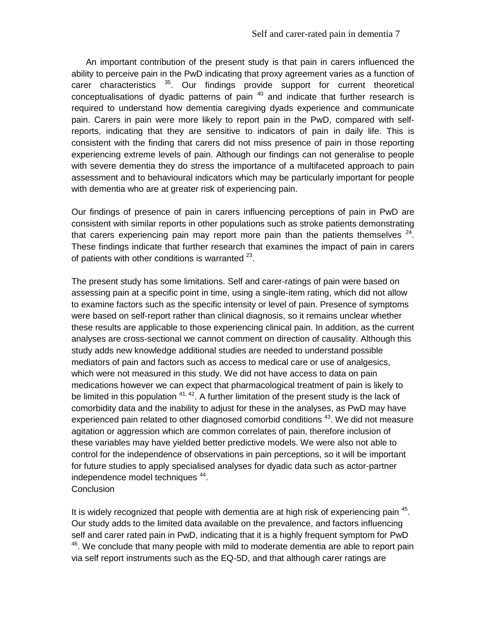An important contribution of the present study is that pain in carers influenced the ability to perceive pain in the PwD indicating that proxy agreement varies as a function of carer characteristics <sup>35</sup>. Our findings provide support for current theoretical conceptualisations of dyadic patterns of pain  $40$  and indicate that further research is required to understand how dementia caregiving dyads experience and communicate pain. Carers in pain were more likely to report pain in the PwD, compared with selfreports, indicating that they are sensitive to indicators of pain in daily life. This is consistent with the finding that carers did not miss presence of pain in those reporting experiencing extreme levels of pain. Although our findings can not generalise to people with severe dementia they do stress the importance of a multifaceted approach to pain assessment and to behavioural indicators which may be particularly important for people with dementia who are at greater risk of experiencing pain.

Our findings of presence of pain in carers influencing perceptions of pain in PwD are consistent with similar reports in other populations such as stroke patients demonstrating that carers experiencing pain may report more pain than the patients themselves  $24$ . These findings indicate that further research that examines the impact of pain in carers of patients with other conditions is warranted  $^{23}$ .

The present study has some limitations. Self and carer-ratings of pain were based on assessing pain at a specific point in time, using a single-item rating, which did not allow to examine factors such as the specific intensity or level of pain. Presence of symptoms were based on self-report rather than clinical diagnosis, so it remains unclear whether these results are applicable to those experiencing clinical pain. In addition, as the current analyses are cross-sectional we cannot comment on direction of causality. Although this study adds new knowledge additional studies are needed to understand possible mediators of pain and factors such as access to medical care or use of analgesics, which were not measured in this study. We did not have access to data on pain medications however we can expect that pharmacological treatment of pain is likely to be limited in this population <sup>41, 42</sup>. A further limitation of the present study is the lack of comorbidity data and the inability to adjust for these in the analyses, as PwD may have experienced pain related to other diagnosed comorbid conditions <sup>43</sup>. We did not measure agitation or aggression which are common correlates of pain, therefore inclusion of these variables may have yielded better predictive models. We were also not able to control for the independence of observations in pain perceptions, so it will be important for future studies to apply specialised analyses for dyadic data such as actor-partner independence model techniques <sup>44</sup>. **Conclusion** 

It is widely recognized that people with dementia are at high risk of experiencing pain <sup>45</sup>. Our study adds to the limited data available on the prevalence, and factors influencing self and carer rated pain in PwD, indicating that it is a highly frequent symptom for PwD <sup>46</sup>. We conclude that many people with mild to moderate dementia are able to report pain via self report instruments such as the EQ-5D, and that although carer ratings are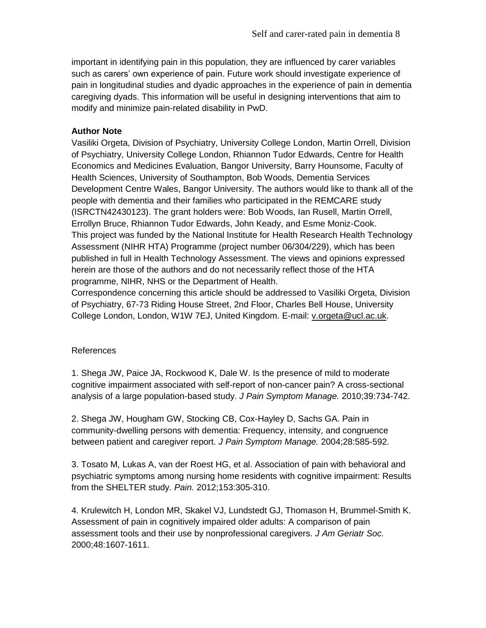important in identifying pain in this population, they are influenced by carer variables such as carers' own experience of pain. Future work should investigate experience of pain in longitudinal studies and dyadic approaches in the experience of pain in dementia caregiving dyads. This information will be useful in designing interventions that aim to modify and minimize pain-related disability in PwD.

# **Author Note**

Vasiliki Orgeta, Division of Psychiatry, University College London, Martin Orrell, Division of Psychiatry, University College London, Rhiannon Tudor Edwards, Centre for Health Economics and Medicines Evaluation, Bangor University, Barry Hounsome, Faculty of Health Sciences, University of Southampton, Bob Woods, Dementia Services Development Centre Wales, Bangor University. The authors would like to thank all of the people with dementia and their families who participated in the REMCARE study (ISRCTN42430123). The grant holders were: Bob Woods, Ian Rusell, Martin Orrell, Errollyn Bruce, Rhiannon Tudor Edwards, John Keady, and Esme Moniz-Cook. This project was funded by the National Institute for Health Research Health Technology Assessment (NIHR HTA) Programme (project number 06/304/229), which has been published in full in Health Technology Assessment. The views and opinions expressed herein are those of the authors and do not necessarily reflect those of the HTA programme, NIHR, NHS or the Department of Health.

Correspondence concerning this article should be addressed to Vasiliki Orgeta, Division of Psychiatry, 67-73 Riding House Street, 2nd Floor, Charles Bell House, University College London, London, W1W 7EJ, United Kingdom. E-mail: [v.orgeta@ucl.ac.uk.](mailto:v.orgeta@ucl.ac.uk)

#### References

1. Shega JW, Paice JA, Rockwood K, Dale W. Is the presence of mild to moderate cognitive impairment associated with self-report of non-cancer pain? A cross-sectional analysis of a large population-based study. *J Pain Symptom Manage.* 2010;39:734-742.

2. Shega JW, Hougham GW, Stocking CB, Cox-Hayley D, Sachs GA. Pain in community-dwelling persons with dementia: Frequency, intensity, and congruence between patient and caregiver report. *J Pain Symptom Manage.* 2004;28:585-592.

3. Tosato M, Lukas A, van der Roest HG, et al. Association of pain with behavioral and psychiatric symptoms among nursing home residents with cognitive impairment: Results from the SHELTER study. *Pain.* 2012;153:305-310.

4. Krulewitch H, London MR, Skakel VJ, Lundstedt GJ, Thomason H, Brummel-Smith K. Assessment of pain in cognitively impaired older adults: A comparison of pain assessment tools and their use by nonprofessional caregivers. *J Am Geriatr Soc.*  2000;48:1607-1611.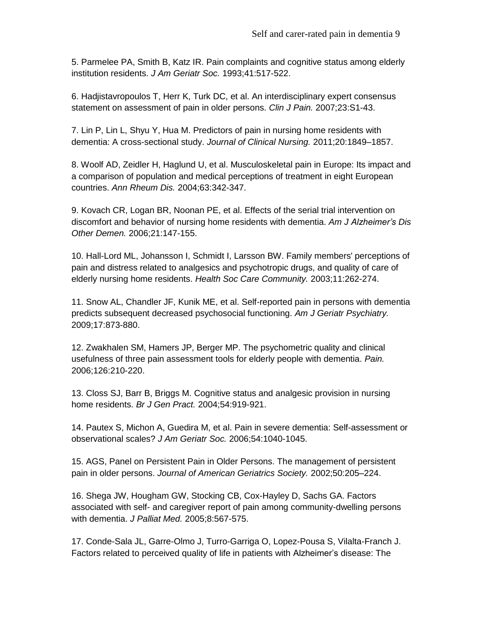5. Parmelee PA, Smith B, Katz IR. Pain complaints and cognitive status among elderly institution residents. *J Am Geriatr Soc.* 1993;41:517-522.

6. Hadjistavropoulos T, Herr K, Turk DC, et al. An interdisciplinary expert consensus statement on assessment of pain in older persons. *Clin J Pain.* 2007;23:S1-43.

7. Lin P, Lin L, Shyu Y, Hua M. Predictors of pain in nursing home residents with dementia: A cross-sectional study. *Journal of Clinical Nursing.* 2011;20:1849–1857.

8. Woolf AD, Zeidler H, Haglund U, et al. Musculoskeletal pain in Europe: Its impact and a comparison of population and medical perceptions of treatment in eight European countries. *Ann Rheum Dis.* 2004;63:342-347.

9. Kovach CR, Logan BR, Noonan PE, et al. Effects of the serial trial intervention on discomfort and behavior of nursing home residents with dementia. *Am J Alzheimer's Dis Other Demen.* 2006;21:147-155.

10. Hall-Lord ML, Johansson I, Schmidt I, Larsson BW. Family members' perceptions of pain and distress related to analgesics and psychotropic drugs, and quality of care of elderly nursing home residents. *Health Soc Care Community.* 2003;11:262-274.

11. Snow AL, Chandler JF, Kunik ME, et al. Self-reported pain in persons with dementia predicts subsequent decreased psychosocial functioning. *Am J Geriatr Psychiatry.*  2009;17:873-880.

12. Zwakhalen SM, Hamers JP, Berger MP. The psychometric quality and clinical usefulness of three pain assessment tools for elderly people with dementia. *Pain.*  2006;126:210-220.

13. Closs SJ, Barr B, Briggs M. Cognitive status and analgesic provision in nursing home residents. *Br J Gen Pract.* 2004;54:919-921.

14. Pautex S, Michon A, Guedira M, et al. Pain in severe dementia: Self-assessment or observational scales? *J Am Geriatr Soc.* 2006;54:1040-1045.

15. AGS, Panel on Persistent Pain in Older Persons. The management of persistent pain in older persons. *Journal of American Geriatrics Society.* 2002;50:205–224.

16. Shega JW, Hougham GW, Stocking CB, Cox-Hayley D, Sachs GA. Factors associated with self- and caregiver report of pain among community-dwelling persons with dementia. *J Palliat Med.* 2005;8:567-575.

17. Conde-Sala JL, Garre-Olmo J, Turro-Garriga O, Lopez-Pousa S, Vilalta-Franch J. Factors related to perceived quality of life in patients with Alzheimer's disease: The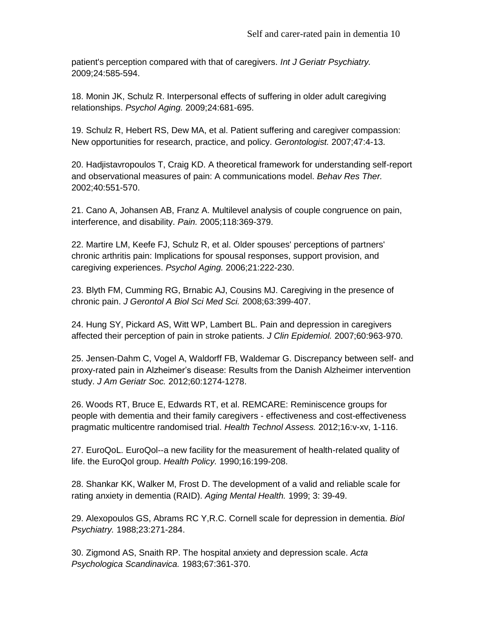patient's perception compared with that of caregivers. *Int J Geriatr Psychiatry.*  2009;24:585-594.

18. Monin JK, Schulz R. Interpersonal effects of suffering in older adult caregiving relationships. *Psychol Aging.* 2009;24:681-695.

19. Schulz R, Hebert RS, Dew MA, et al. Patient suffering and caregiver compassion: New opportunities for research, practice, and policy. *Gerontologist.* 2007;47:4-13.

20. Hadjistavropoulos T, Craig KD. A theoretical framework for understanding self-report and observational measures of pain: A communications model. *Behav Res Ther.*  2002;40:551-570.

21. Cano A, Johansen AB, Franz A. Multilevel analysis of couple congruence on pain, interference, and disability. *Pain.* 2005;118:369-379.

22. Martire LM, Keefe FJ, Schulz R, et al. Older spouses' perceptions of partners' chronic arthritis pain: Implications for spousal responses, support provision, and caregiving experiences. *Psychol Aging.* 2006;21:222-230.

23. Blyth FM, Cumming RG, Brnabic AJ, Cousins MJ. Caregiving in the presence of chronic pain. *J Gerontol A Biol Sci Med Sci.* 2008;63:399-407.

24. Hung SY, Pickard AS, Witt WP, Lambert BL. Pain and depression in caregivers affected their perception of pain in stroke patients. *J Clin Epidemiol.* 2007;60:963-970.

25. Jensen-Dahm C, Vogel A, Waldorff FB, Waldemar G. Discrepancy between self- and proxy-rated pain in Alzheimer's disease: Results from the Danish Alzheimer intervention study. *J Am Geriatr Soc.* 2012;60:1274-1278.

26. Woods RT, Bruce E, Edwards RT, et al. REMCARE: Reminiscence groups for people with dementia and their family caregivers - effectiveness and cost-effectiveness pragmatic multicentre randomised trial. *Health Technol Assess.* 2012;16:v-xv, 1-116.

27. EuroQoL. EuroQol--a new facility for the measurement of health-related quality of life. the EuroQol group. *Health Policy.* 1990;16:199-208.

28. Shankar KK, Walker M, Frost D. The development of a valid and reliable scale for rating anxiety in dementia (RAID). *Aging Mental Health.* 1999; 3: 39-49.

29. Alexopoulos GS, Abrams RC Y,R.C. Cornell scale for depression in dementia. *Biol Psychiatry.* 1988;23:271-284.

30. Zigmond AS, Snaith RP. The hospital anxiety and depression scale. *Acta Psychologica Scandinavica.* 1983;67:361-370.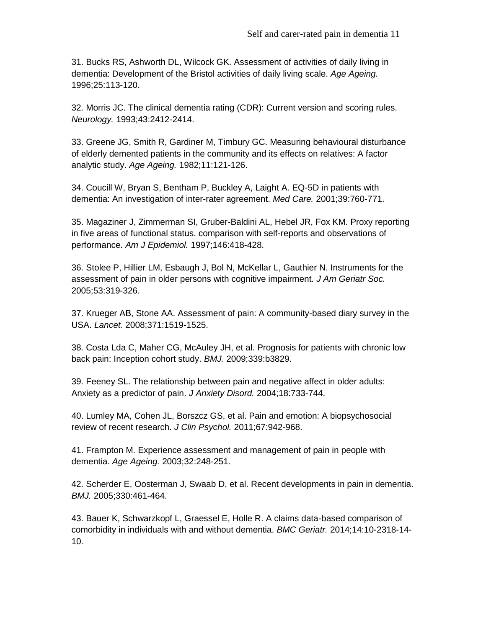31. Bucks RS, Ashworth DL, Wilcock GK. Assessment of activities of daily living in dementia: Development of the Bristol activities of daily living scale. *Age Ageing.*  1996;25:113-120.

32. Morris JC. The clinical dementia rating (CDR): Current version and scoring rules. *Neurology.* 1993;43:2412-2414.

33. Greene JG, Smith R, Gardiner M, Timbury GC. Measuring behavioural disturbance of elderly demented patients in the community and its effects on relatives: A factor analytic study. *Age Ageing.* 1982;11:121-126.

34. Coucill W, Bryan S, Bentham P, Buckley A, Laight A. EQ-5D in patients with dementia: An investigation of inter-rater agreement. *Med Care.* 2001;39:760-771.

35. Magaziner J, Zimmerman SI, Gruber-Baldini AL, Hebel JR, Fox KM. Proxy reporting in five areas of functional status. comparison with self-reports and observations of performance. *Am J Epidemiol.* 1997;146:418-428.

36. Stolee P, Hillier LM, Esbaugh J, Bol N, McKellar L, Gauthier N. Instruments for the assessment of pain in older persons with cognitive impairment. *J Am Geriatr Soc.*  2005;53:319-326.

37. Krueger AB, Stone AA. Assessment of pain: A community-based diary survey in the USA. *Lancet.* 2008;371:1519-1525.

38. Costa Lda C, Maher CG, McAuley JH, et al. Prognosis for patients with chronic low back pain: Inception cohort study. *BMJ.* 2009;339:b3829.

39. Feeney SL. The relationship between pain and negative affect in older adults: Anxiety as a predictor of pain. *J Anxiety Disord.* 2004;18:733-744.

40. Lumley MA, Cohen JL, Borszcz GS, et al. Pain and emotion: A biopsychosocial review of recent research. *J Clin Psychol.* 2011;67:942-968.

41. Frampton M. Experience assessment and management of pain in people with dementia. *Age Ageing.* 2003;32:248-251.

42. Scherder E, Oosterman J, Swaab D, et al. Recent developments in pain in dementia. *BMJ.* 2005;330:461-464.

43. Bauer K, Schwarzkopf L, Graessel E, Holle R. A claims data-based comparison of comorbidity in individuals with and without dementia. *BMC Geriatr.* 2014;14:10-2318-14- 10.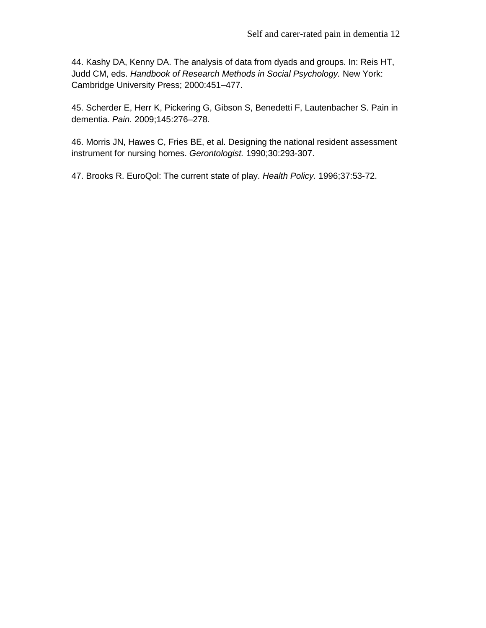44. Kashy DA, Kenny DA. The analysis of data from dyads and groups. In: Reis HT, Judd CM, eds. *Handbook of Research Methods in Social Psychology.* New York: Cambridge University Press; 2000:451–477.

45. Scherder E, Herr K, Pickering G, Gibson S, Benedetti F, Lautenbacher S. Pain in dementia. *Pain.* 2009;145:276–278.

46. Morris JN, Hawes C, Fries BE, et al. Designing the national resident assessment instrument for nursing homes. *Gerontologist.* 1990;30:293-307.

47. Brooks R. EuroQol: The current state of play. *Health Policy.* 1996;37:53-72.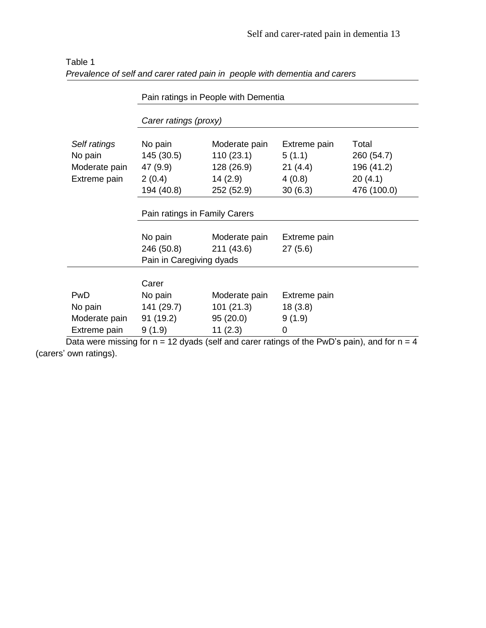|               | Pain ratings in People with Dementia |               |              |             |  |  |  |  |  |
|---------------|--------------------------------------|---------------|--------------|-------------|--|--|--|--|--|
|               | Carer ratings (proxy)                |               |              |             |  |  |  |  |  |
| Self ratings  | No pain                              | Moderate pain | Extreme pain | Total       |  |  |  |  |  |
| No pain       | 145 (30.5)                           | 110(23.1)     | 5(1.1)       | 260 (54.7)  |  |  |  |  |  |
| Moderate pain | 47 (9.9)                             | 128 (26.9)    | 21(4.4)      | 196 (41.2)  |  |  |  |  |  |
| Extreme pain  | 2(0.4)                               | 14(2.9)       | 4(0.8)       | 20(4.1)     |  |  |  |  |  |
|               | 194 (40.8)                           | 252 (52.9)    | 30(6.3)      | 476 (100.0) |  |  |  |  |  |
|               | Pain ratings in Family Carers        |               |              |             |  |  |  |  |  |
|               | No pain                              | Moderate pain | Extreme pain |             |  |  |  |  |  |
|               | 246 (50.8)                           | 211 (43.6)    | 27(5.6)      |             |  |  |  |  |  |
|               | Pain in Caregiving dyads             |               |              |             |  |  |  |  |  |
|               | Carer                                |               |              |             |  |  |  |  |  |
| PwD           | No pain                              | Moderate pain | Extreme pain |             |  |  |  |  |  |
| No pain       | 141 (29.7)                           | 101(21.3)     | 18(3.8)      |             |  |  |  |  |  |
| Moderate pain | 91(19.2)                             | 95(20.0)      | 9(1.9)       |             |  |  |  |  |  |
| Extreme pain  | 11(2.3)<br>9(1.9)<br>0               |               |              |             |  |  |  |  |  |

| Table 1                                                                    |  |
|----------------------------------------------------------------------------|--|
| Prevalence of self and carer rated pain in people with dementia and carers |  |

Data were missing for  $n = 12$  dyads (self and carer ratings of the PwD's pain), and for  $n = 4$ (carers' own ratings).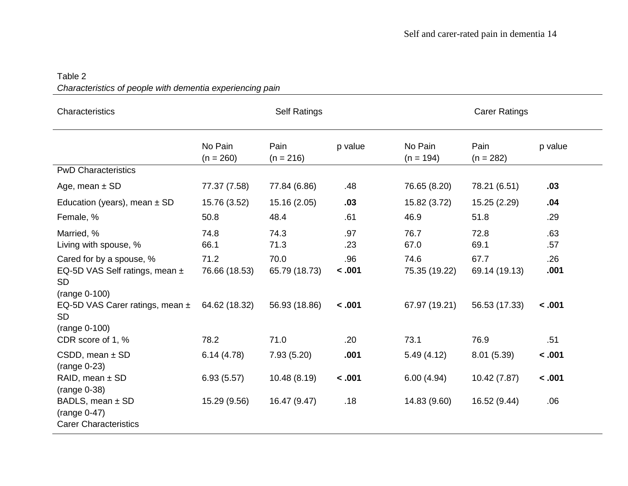# Table 2 *Characteristics of people with dementia experiencing pain*

| Characteristics                                                                          | <b>Self Ratings</b>    |                       |               | <b>Carer Ratings</b>   |                       |             |  |
|------------------------------------------------------------------------------------------|------------------------|-----------------------|---------------|------------------------|-----------------------|-------------|--|
|                                                                                          | No Pain<br>$(n = 260)$ | Pain<br>$(n = 216)$   | p value       | No Pain<br>$(n = 194)$ | Pain<br>$(n = 282)$   | p value     |  |
| <b>PwD Characteristics</b>                                                               |                        |                       |               |                        |                       |             |  |
| Age, mean $\pm$ SD                                                                       | 77.37 (7.58)           | 77.84 (6.86)          | .48           | 76.65 (8.20)           | 78.21 (6.51)          | .03         |  |
| Education (years), mean $\pm$ SD                                                         | 15.76 (3.52)           | 15.16 (2.05)          | .03           | 15.82 (3.72)           | 15.25 (2.29)          | .04         |  |
| Female, %                                                                                | 50.8                   | 48.4                  | .61           | 46.9                   | 51.8                  | .29         |  |
| Married, %<br>Living with spouse, %                                                      | 74.8<br>66.1           | 74.3<br>71.3          | .97<br>.23    | 76.7<br>67.0           | 72.8<br>69.1          | .63<br>.57  |  |
| Cared for by a spouse, %<br>EQ-5D VAS Self ratings, mean ±<br><b>SD</b><br>(range 0-100) | 71.2<br>76.66 (18.53)  | 70.0<br>65.79 (18.73) | .96<br>< .001 | 74.6<br>75.35 (19.22)  | 67.7<br>69.14 (19.13) | .26<br>.001 |  |
| EQ-5D VAS Carer ratings, mean ±<br><b>SD</b><br>(range 0-100)                            | 64.62 (18.32)          | 56.93 (18.86)         | < .001        | 67.97 (19.21)          | 56.53 (17.33)         | < .001      |  |
| CDR score of 1, %                                                                        | 78.2                   | 71.0                  | .20           | 73.1                   | 76.9                  | .51         |  |
| CSDD, mean $\pm$ SD<br>$(range 0-23)$                                                    | 6.14(4.78)             | 7.93(5.20)            | .001          | 5.49(4.12)             | 8.01(5.39)            | < .001      |  |
| RAID, mean $\pm$ SD<br>$(range 0-38)$                                                    | 6.93(5.57)             | 10.48 (8.19)          | < .001        | 6.00(4.94)             | 10.42 (7.87)          | < .001      |  |
| BADLS, mean ± SD<br>$(range 0-47)$<br><b>Carer Characteristics</b>                       | 15.29 (9.56)           | 16.47 (9.47)          | .18           | 14.83 (9.60)           | 16.52 (9.44)          | .06         |  |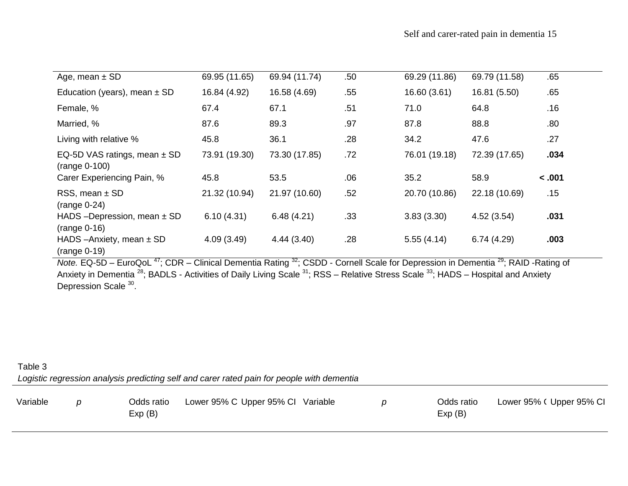| Age, mean $\pm$ SD                                                                                    | 69.95 (11.65)                             | 69.94 (11.74)                                                                   | .50 <sub>1</sub> | 69.29 (11.86)                                                          | 69.79 (11.58)                                         | .65    |  |
|-------------------------------------------------------------------------------------------------------|-------------------------------------------|---------------------------------------------------------------------------------|------------------|------------------------------------------------------------------------|-------------------------------------------------------|--------|--|
| Education (years), mean $\pm$ SD                                                                      | 16.84 (4.92)                              | 16.58 (4.69)                                                                    | .55              | 16.60 (3.61)                                                           | 16.81 (5.50)                                          | .65    |  |
| Female, %                                                                                             | 67.4                                      | 67.1                                                                            | .51              | 71.0                                                                   | 64.8                                                  | .16    |  |
| Married, %                                                                                            | 87.6                                      | 89.3                                                                            | .97              | 87.8                                                                   | 88.8                                                  | .80    |  |
| Living with relative %                                                                                | 45.8                                      | 36.1                                                                            | .28              | 34.2                                                                   | 47.6                                                  | .27    |  |
| EQ-5D VAS ratings, mean $\pm$ SD<br>(range 0-100)                                                     | 73.91 (19.30)                             | 73.30 (17.85)                                                                   | .72              | 76.01 (19.18)                                                          | 72.39 (17.65)                                         | .034   |  |
| Carer Experiencing Pain, %                                                                            | 45.8                                      | 53.5                                                                            | .06              | 35.2                                                                   | 58.9                                                  | < .001 |  |
| RSS, mean $\pm$ SD<br>$(range 0-24)$                                                                  | 21.32 (10.94)                             | 21.97 (10.60)                                                                   | .52              | 20.70 (10.86)                                                          | 22.18 (10.69)                                         | .15    |  |
| HADS -Depression, mean $\pm$ SD<br>$(range 0-16)$                                                     | 6.10(4.31)                                | 6.48(4.21)                                                                      | .33              | 3.83(3.30)                                                             | 4.52(3.54)                                            | .031   |  |
| HADS $-Anxiety$ , mean $\pm$ SD<br>$(range 0-19)$<br>$2^{147}$<br>$\cdots$ $\cdots$ $\cdots$ $\cdots$ | 4.09(3.49)<br>$\sim$ $\sim$ $\sim$ $\sim$ | 4.44(3.40)<br>$\frac{32}{20}$<br>$\mathbf{r}$ and $\mathbf{r}$ and $\mathbf{r}$ | .28              | 5.55(4.14)<br>$\mathbf{u}$ $\mathbf{v}$ $\mathbf{v}$ $\mathbf{v}$<br>. | 6.74(4.29)<br>$\cdot$ 29 $\sim$ $\sim$ $\sim$ $\cdot$ | .003   |  |

*Note.* EQ-5D – EuroQoL<sup>47</sup>; CDR – Clinical Dementia Rating <sup>32</sup>; CSDD - Cornell Scale for Depression in Dementia <sup>29</sup>; RAID -Rating of Anxiety in Dementia <sup>28</sup>; BADLS - Activities of Daily Living Scale <sup>31</sup>; RSS – Relative Stress Scale <sup>33</sup>; HADS – Hospital and Anxiety Depression Scale <sup>30</sup>.

# Table 3 *Logistic regression analysis predicting self and carer rated pain for people with dementia*

| Variable |  | Odds ratio<br>Exp(B) | Lower 95% C Upper 95% CI Variable |  |  | Odds ratio<br>Exp(B) | Lower 95% (Upper 95% CI |
|----------|--|----------------------|-----------------------------------|--|--|----------------------|-------------------------|
|----------|--|----------------------|-----------------------------------|--|--|----------------------|-------------------------|